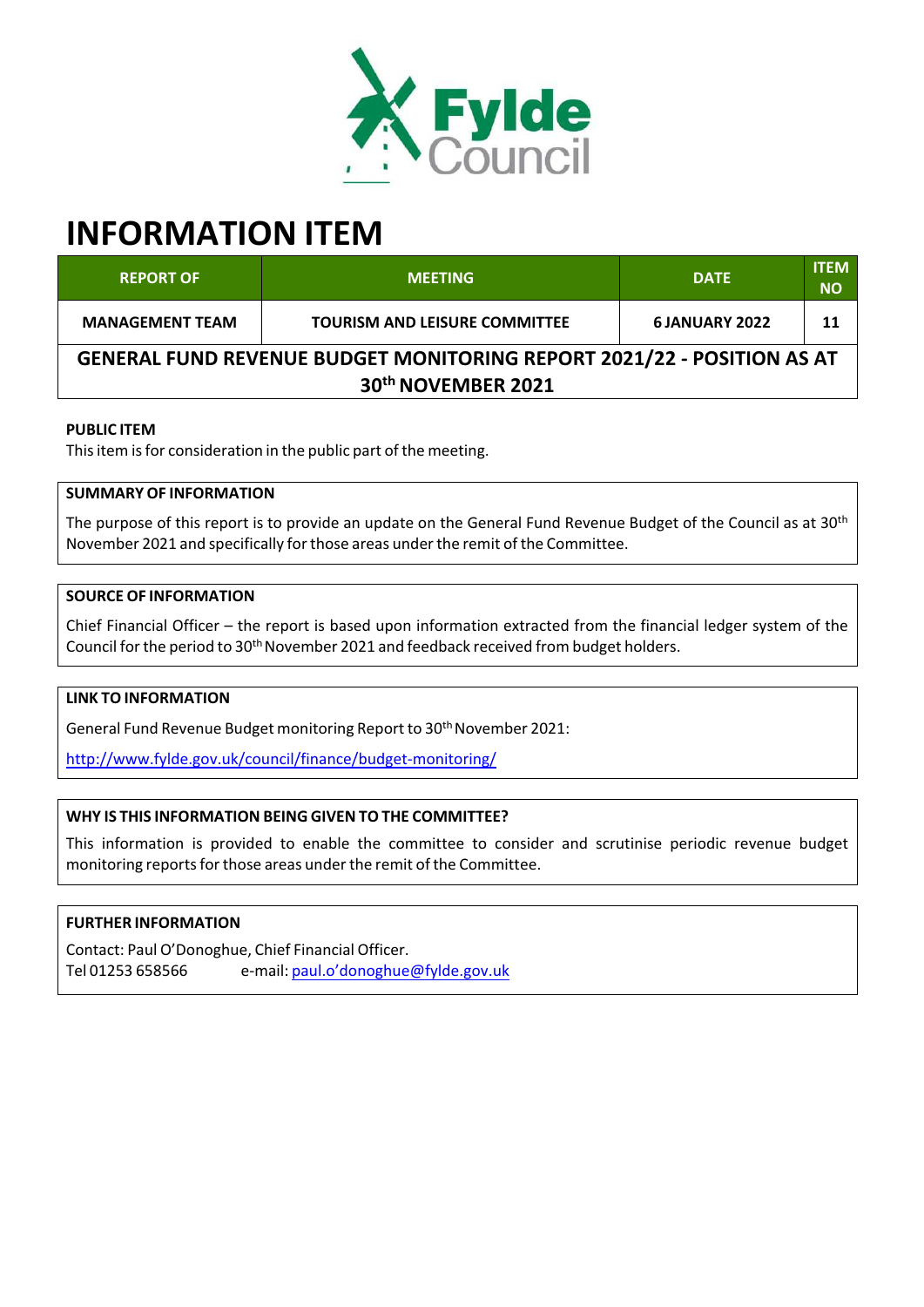

# **INFORMATION ITEM**

| <b>REPORT OF</b>                                                              | <b>MEETING</b>                       | <b>DATE</b>          | <b>ITEM</b><br><b>NO</b> |
|-------------------------------------------------------------------------------|--------------------------------------|----------------------|--------------------------|
| <b>MANAGEMENT TEAM</b>                                                        | <b>TOURISM AND LEISURE COMMITTEE</b> | <b>6JANUARY 2022</b> | 11                       |
| <b>GENERAL FUND REVENUE BUDGET MONITORING REPORT 2021/22 - POSITION AS AT</b> |                                      |                      |                          |
| 30th NOVEMBER 2021                                                            |                                      |                      |                          |

## **PUBLIC ITEM**

This item is for consideration in the public part of the meeting.

## **SUMMARY OF INFORMATION**

The purpose of this report is to provide an update on the General Fund Revenue Budget of the Council as at 30<sup>th</sup> November 2021 and specifically forthose areas underthe remit of the Committee.

## **SOURCE OF INFORMATION**

Chief Financial Officer – the report is based upon information extracted from the financial ledger system of the Council for the period to 30<sup>th</sup> November 2021 and feedback received from budget holders.

## **LINK TO INFORMATION**

General Fund Revenue Budget monitoring Report to 30<sup>th</sup> November 2021:

http://www.fylde.gov.uk/council/finance/budget‐monitoring/

## **WHY IS THIS INFORMATION BEING GIVEN TO THE COMMITTEE?**

This information is provided to enable the committee to consider and scrutinise periodic revenue budget monitoring reports for those areas under the remit of the Committee.

#### **FURTHER INFORMATION**

Contact: Paul O'Donoghue, Chief Financial Officer. Tel 01253 658566 e-mail: paul.o'donoghue@fylde.gov.uk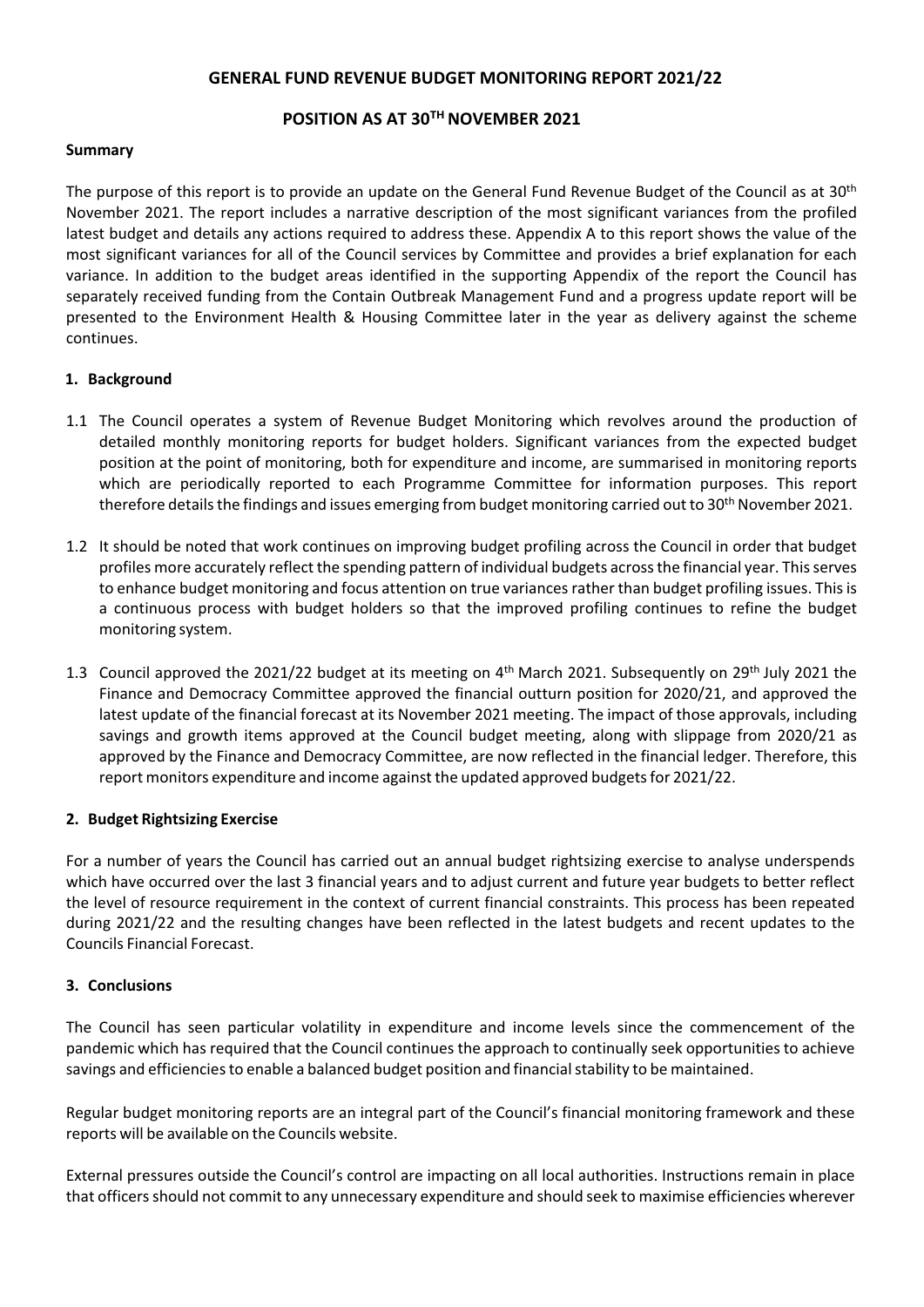## **GENERAL FUND REVENUE BUDGET MONITORING REPORT 2021/22**

## **POSITION AS AT 30 THNOVEMBER 2021**

#### **Summary**

The purpose of this report is to provide an update on the General Fund Revenue Budget of the Council as at 30<sup>th</sup> November 2021. The report includes a narrative description of the most significant variances from the profiled latest budget and details any actions required to address these. Appendix A to this report shows the value of the most significant variances for all of the Council services by Committee and provides a brief explanation for each variance. In addition to the budget areas identified in the supporting Appendix of the report the Council has separately received funding from the Contain Outbreak Management Fund and a progress update report will be presented to the Environment Health & Housing Committee later in the year as delivery against the scheme continues.

#### **1. Background**

- 1.1 The Council operates a system of Revenue Budget Monitoring which revolves around the production of detailed monthly monitoring reports for budget holders. Significant variances from the expected budget position at the point of monitoring, both for expenditure and income, are summarised in monitoring reports which are periodically reported to each Programme Committee for information purposes. This report therefore details the findings and issues emerging from budget monitoring carried out to 30<sup>th</sup> November 2021.
- 1.2 It should be noted that work continues on improving budget profiling across the Council in order that budget profiles more accurately reflect the spending pattern of individual budgets across the financial year. This serves to enhance budget monitoring and focus attention on true variances rather than budget profiling issues. This is a continuous process with budget holders so that the improved profiling continues to refine the budget monitoring system.
- 1.3 Council approved the 2021/22 budget at its meeting on 4<sup>th</sup> March 2021. Subsequently on 29<sup>th</sup> July 2021 the Finance and Democracy Committee approved the financial outturn position for 2020/21, and approved the latest update of the financial forecast at its November 2021 meeting. The impact of those approvals, including savings and growth items approved at the Council budget meeting, along with slippage from 2020/21 as approved by the Finance and Democracy Committee, are now reflected in the financial ledger. Therefore, this report monitors expenditure and income against the updated approved budgetsfor 2021/22.

#### **2. Budget Rightsizing Exercise**

For a number of years the Council has carried out an annual budget rightsizing exercise to analyse underspends which have occurred over the last 3 financial years and to adjust current and future year budgets to better reflect the level of resource requirement in the context of current financial constraints. This process has been repeated during 2021/22 and the resulting changes have been reflected in the latest budgets and recent updates to the Councils Financial Forecast.

#### **3. Conclusions**

The Council has seen particular volatility in expenditure and income levels since the commencement of the pandemic which has required that the Council continues the approach to continually seek opportunities to achieve savings and efficiencies to enable a balanced budget position and financial stability to be maintained.

Regular budget monitoring reports are an integral part of the Council's financial monitoring framework and these reports will be available on the Councils website.

External pressures outside the Council's control are impacting on all local authorities. Instructions remain in place that officers should not commit to any unnecessary expenditure and should seek to maximise efficiencies wherever